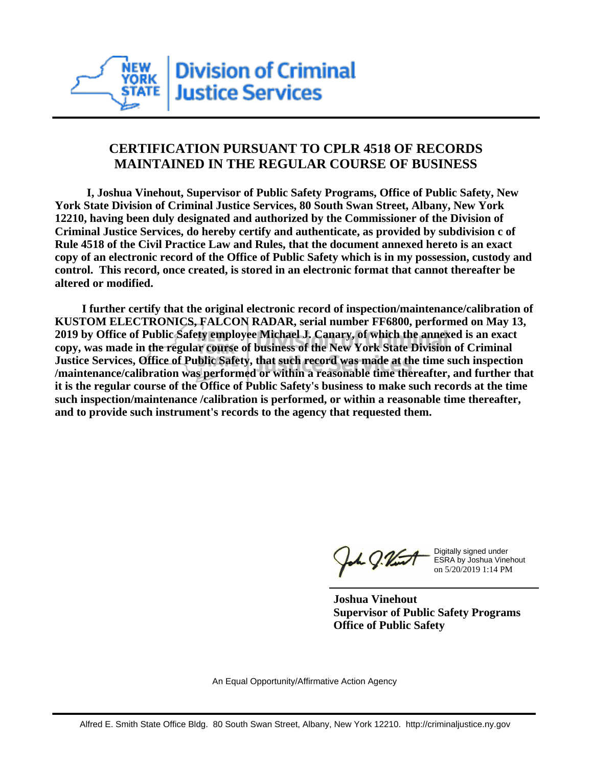

## **CERTIFICATION PURSUANT TO CPLR 4518 OF RECORDS MAINTAINED IN THE REGULAR COURSE OF BUSINESS**

 **I, Joshua Vinehout, Supervisor of Public Safety Programs, Office of Public Safety, New York State Division of Criminal Justice Services, 80 South Swan Street, Albany, New York 12210, having been duly designated and authorized by the Commissioner of the Division of Criminal Justice Services, do hereby certify and authenticate, as provided by subdivision c of Rule 4518 of the Civil Practice Law and Rules, that the document annexed hereto is an exact copy of an electronic record of the Office of Public Safety which is in my possession, custody and control. This record, once created, is stored in an electronic format that cannot thereafter be altered or modified.**

 **I further certify that the original electronic record of inspection/maintenance/calibration of KUSTOM ELECTRONICS, FALCON RADAR, serial number FF6800, performed on May 13, 2019 by Office of Public Safety employee Michael J. Canary, of which the annexed is an exact copy, was made in the regular course of business of the New York State Division of Criminal Justice Services, Office of Public Safety, that such record was made at the time such inspection /maintenance/calibration was performed or within a reasonable time thereafter, and further that it is the regular course of the Office of Public Safety's business to make such records at the time such inspection/maintenance /calibration is performed, or within a reasonable time thereafter, and to provide such instrument's records to the agency that requested them.**

the J. Vint

Digitally signed under ESRA by Joshua Vinehout on 5/20/2019 1:14 PM

**Joshua Vinehout Supervisor of Public Safety Programs Office of Public Safety**

An Equal Opportunity/Affirmative Action Agency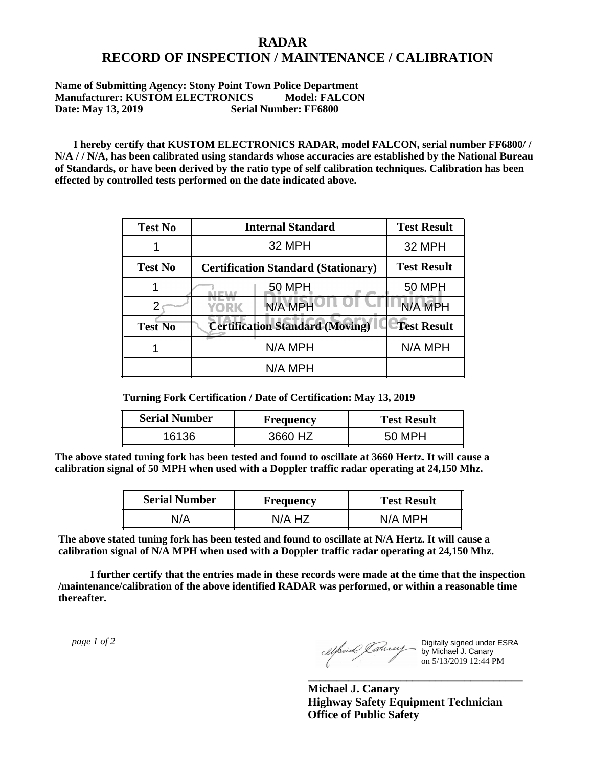## **RADAR RECORD OF INSPECTION / MAINTENANCE / CALIBRATION**

**Name of Submitting Agency: Stony Point Town Police Department Manufacturer: KUSTOM ELECTRONICS Model: FALCON Date: May 13, 2019** Serial Number: FF6800

 **I hereby certify that KUSTOM ELECTRONICS RADAR, model FALCON, serial number FF6800/ / N/A / / N/A, has been calibrated using standards whose accuracies are established by the National Bureau of Standards, or have been derived by the ratio type of self calibration techniques. Calibration has been effected by controlled tests performed on the date indicated above.**

| <b>Test No</b> | <b>Internal Standard</b>                   | <b>Test Result</b> |
|----------------|--------------------------------------------|--------------------|
|                | 32 MPH                                     | 32 MPH             |
| <b>Test No</b> | <b>Certification Standard (Stationary)</b> | <b>Test Result</b> |
|                | 50 MPH                                     | 50 MPH             |
|                | N/A MPH<br>YORK                            | N/A MPH            |
| <b>Test No</b> | <b>Certification Standard (Moving)</b>     | <b>Test Result</b> |
|                | N/A MPH                                    | N/A MPH            |
|                | N/A MPH                                    |                    |

**Turning Fork Certification / Date of Certification: May 13, 2019**

| <b>Serial Number</b> | <b>Frequency</b> | <b>Test Result</b> |
|----------------------|------------------|--------------------|
| 16136                | 3660 HZ          | 50 MPH             |

**The above stated tuning fork has been tested and found to oscillate at 3660 Hertz. It will cause a calibration signal of 50 MPH when used with a Doppler traffic radar operating at 24,150 Mhz.**

| <b>Serial Number</b> | Frequency | <b>Test Result</b> |
|----------------------|-----------|--------------------|
| N/A                  | N/A HZ    | N/A MPH            |

**The above stated tuning fork has been tested and found to oscillate at N/A Hertz. It will cause a calibration signal of N/A MPH when used with a Doppler traffic radar operating at 24,150 Mhz.**

 **I further certify that the entries made in these records were made at the time that the inspection /maintenance/calibration of the above identified RADAR was performed, or within a reasonable time thereafter.**

 *page 1 of 2* 

Digitally signed under ESRA by Michael J. Canary on 5/13/2019 12:44 PM

**Michael J. Canary Highway Safety Equipment Technician Office of Public Safety**

**\_\_\_\_\_\_\_\_\_\_\_\_\_\_\_\_\_\_\_\_\_\_\_\_\_\_\_\_\_\_\_\_\_\_\_\_\_**